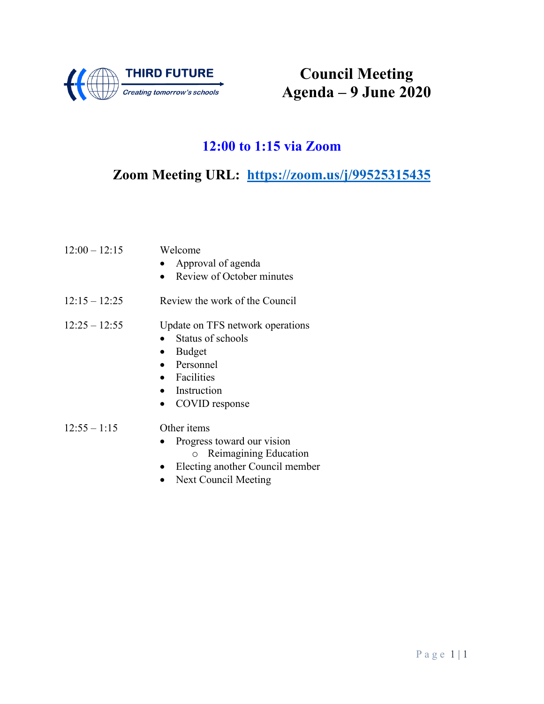

**Council Meeting Agenda – 9 June 2020**

## **12:00 to 1:15 via Zoom**

**Zoom Meeting URL: <https://zoom.us/j/99525315435>**

| $12:00 - 12:15$ | Welcome<br>Approval of agenda<br>Review of October minutes                                                                             |
|-----------------|----------------------------------------------------------------------------------------------------------------------------------------|
| $12:15 - 12:25$ | Review the work of the Council                                                                                                         |
| $12:25 - 12:55$ | Update on TFS network operations<br>Status of schools<br><b>Budget</b><br>• Personnel<br>• Facilities<br>Instruction<br>COVID response |
| $12:55 - 1:15$  | Other <i>items</i><br>Progress toward our vision<br>o Reimagining Education<br>Electing another Council member                         |

• Next Council Meeting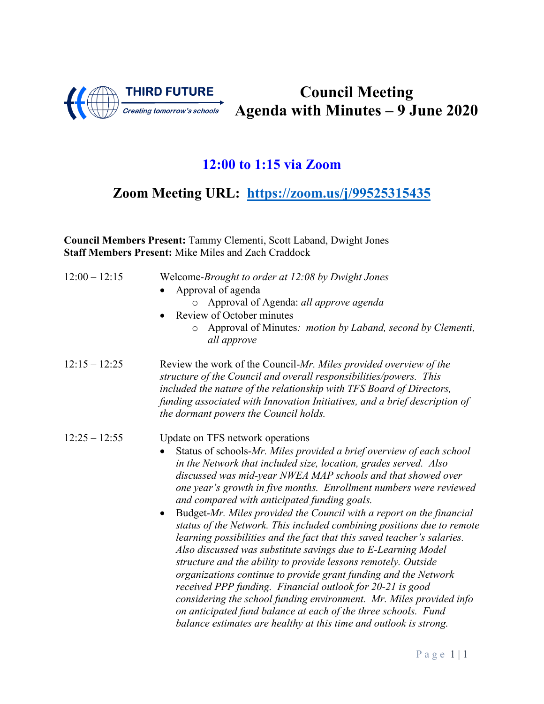

**Council Meeting Agenda with Minutes – 9 June 2020**

# **12:00 to 1:15 via Zoom**

**Zoom Meeting URL: [https://zoom.us/j/99525315435](about:blank)**

| Council Members Present: Tammy Clementi, Scott Laband, Dwight Jones<br><b>Staff Members Present: Mike Miles and Zach Craddock</b> |                                                                                                                                                                                                                                                                                                                                                                                                                                                                                                                                                                                                                                                                                                                                                                                                                                                                                                                                                                                                                                                                                  |
|-----------------------------------------------------------------------------------------------------------------------------------|----------------------------------------------------------------------------------------------------------------------------------------------------------------------------------------------------------------------------------------------------------------------------------------------------------------------------------------------------------------------------------------------------------------------------------------------------------------------------------------------------------------------------------------------------------------------------------------------------------------------------------------------------------------------------------------------------------------------------------------------------------------------------------------------------------------------------------------------------------------------------------------------------------------------------------------------------------------------------------------------------------------------------------------------------------------------------------|
| $12:00 - 12:15$                                                                                                                   | Welcome-Brought to order at 12:08 by Dwight Jones<br>Approval of agenda<br>Approval of Agenda: all approve agenda<br>Review of October minutes<br>Approval of Minutes: motion by Laband, second by Clementi,<br>$\circ$<br>all approve                                                                                                                                                                                                                                                                                                                                                                                                                                                                                                                                                                                                                                                                                                                                                                                                                                           |
| $12:15 - 12:25$                                                                                                                   | Review the work of the Council-Mr. Miles provided overview of the<br>structure of the Council and overall responsibilities/powers. This<br>included the nature of the relationship with TFS Board of Directors,<br>funding associated with Innovation Initiatives, and a brief description of<br>the dormant powers the Council holds.                                                                                                                                                                                                                                                                                                                                                                                                                                                                                                                                                                                                                                                                                                                                           |
| $12:25 - 12:55$                                                                                                                   | Update on TFS network operations<br>Status of schools-Mr. Miles provided a brief overview of each school<br>in the Network that included size, location, grades served. Also<br>discussed was mid-year NWEA MAP schools and that showed over<br>one year's growth in five months. Enrollment numbers were reviewed<br>and compared with anticipated funding goals.<br>Budget-Mr. Miles provided the Council with a report on the financial<br>status of the Network. This included combining positions due to remote<br>learning possibilities and the fact that this saved teacher's salaries.<br>Also discussed was substitute savings due to E-Learning Model<br>structure and the ability to provide lessons remotely. Outside<br>organizations continue to provide grant funding and the Network<br>received PPP funding. Financial outlook for 20-21 is good<br>considering the school funding environment. Mr. Miles provided info<br>on anticipated fund balance at each of the three schools. Fund<br>balance estimates are healthy at this time and outlook is strong. |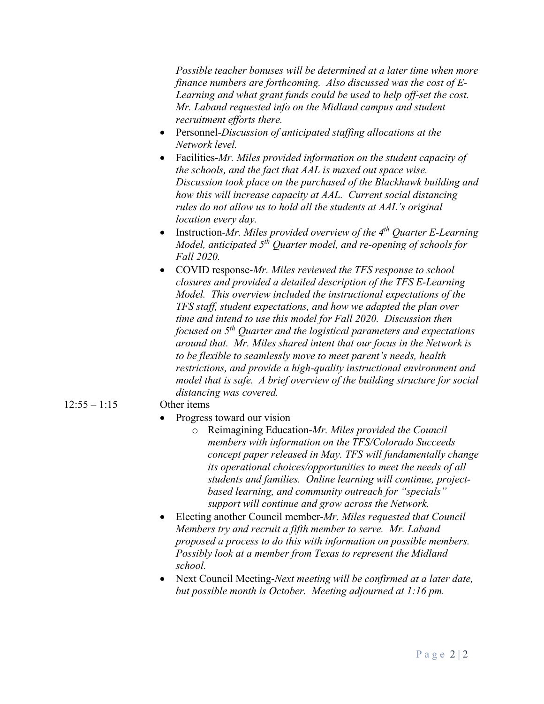*Possible teacher bonuses will be determined at a later time when more finance numbers are forthcoming. Also discussed was the cost of E-Learning and what grant funds could be used to help off-set the cost. Mr. Laband requested info on the Midland campus and student recruitment efforts there.* 

- Personnel-*Discussion of anticipated staffing allocations at the Network level.*
- Facilities-*Mr. Miles provided information on the student capacity of the schools, and the fact that AAL is maxed out space wise. Discussion took place on the purchased of the Blackhawk building and how this will increase capacity at AAL. Current social distancing rules do not allow us to hold all the students at AAL's original location every day.*
- Instruction-*Mr. Miles provided overview of the 4th Quarter E-Learning Model, anticipated 5th Quarter model, and re-opening of schools for Fall 2020.*
- COVID response-*Mr. Miles reviewed the TFS response to school closures and provided a detailed description of the TFS E-Learning Model. This overview included the instructional expectations of the TFS staff, student expectations, and how we adapted the plan over time and intend to use this model for Fall 2020. Discussion then focused on 5th Quarter and the logistical parameters and expectations around that. Mr. Miles shared intent that our focus in the Network is to be flexible to seamlessly move to meet parent's needs, health restrictions, and provide a high-quality instructional environment and model that is safe. A brief overview of the building structure for social distancing was covered.*

### 12:55 – 1:15 Other items

- Progress toward our vision
	- o Reimagining Education-*Mr. Miles provided the Council members with information on the TFS/Colorado Succeeds concept paper released in May. TFS will fundamentally change its operational choices/opportunities to meet the needs of all students and families. Online learning will continue, projectbased learning, and community outreach for "specials" support will continue and grow across the Network.*
- Electing another Council member-*Mr. Miles requested that Council Members try and recruit a fifth member to serve. Mr. Laband proposed a process to do this with information on possible members. Possibly look at a member from Texas to represent the Midland school.*
- Next Council Meeting-*Next meeting will be confirmed at a later date, but possible month is October. Meeting adjourned at 1:16 pm.*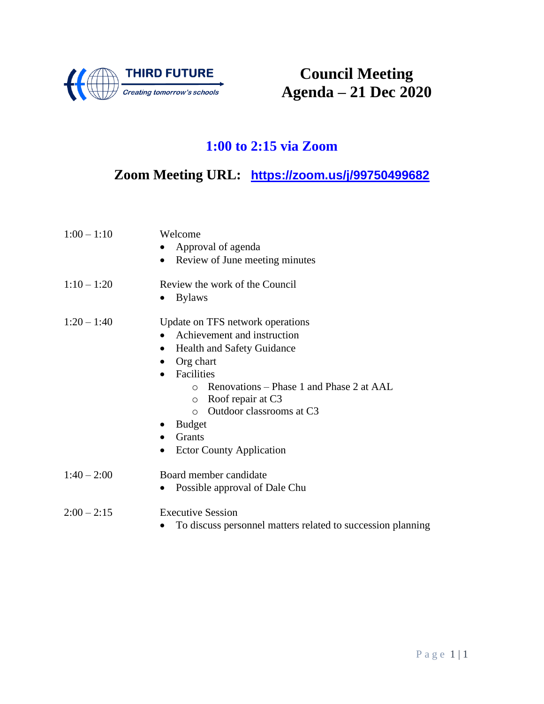

**Council Meeting Agenda – 21 Dec 2020**

# **1:00 to 2:15 via Zoom**

# **Zoom Meeting URL: <https://zoom.us/j/99750499682>**

| $1:00 - 1:10$ | Welcome<br>Approval of agenda<br>Review of June meeting minutes<br>$\bullet$                                                                                                                                                                                                                                                                 |
|---------------|----------------------------------------------------------------------------------------------------------------------------------------------------------------------------------------------------------------------------------------------------------------------------------------------------------------------------------------------|
| $1:10 - 1:20$ | Review the work of the Council<br><b>Bylaws</b><br>$\bullet$                                                                                                                                                                                                                                                                                 |
| $1:20 - 1:40$ | Update on TFS network operations<br>Achievement and instruction<br><b>Health and Safety Guidance</b><br>$\bullet$<br>Org chart<br>Facilities<br>Renovations – Phase 1 and Phase 2 at AAL<br>$\bigcirc$<br>Roof repair at C3<br>$\circ$<br>Outdoor classrooms at C3<br>$\Omega$<br><b>Budget</b><br>Grants<br><b>Ector County Application</b> |
| $1:40 - 2:00$ | Board member candidate<br>Possible approval of Dale Chu<br>$\bullet$                                                                                                                                                                                                                                                                         |
| $2:00 - 2:15$ | <b>Executive Session</b><br>To discuss personnel matters related to succession planning                                                                                                                                                                                                                                                      |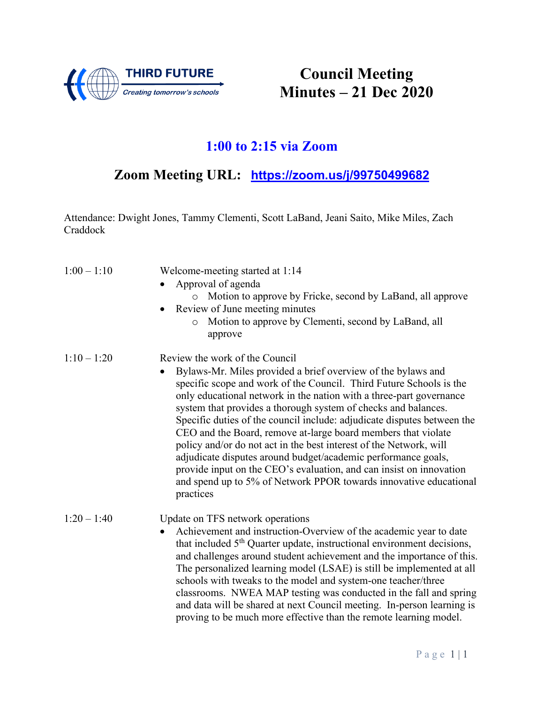

**Council Meeting Minutes – 21 Dec 2020**

### **1:00 to 2:15 via Zoom**

## **Zoom Meeting URL: [https://zoom.us/j/99750499682](about:blank)**

Attendance: Dwight Jones, Tammy Clementi, Scott LaBand, Jeani Saito, Mike Miles, Zach Craddock

| $1:00 - 1:10$ | Welcome-meeting started at 1:14<br>Approval of agenda<br>Motion to approve by Fricke, second by LaBand, all approve<br>Review of June meeting minutes<br>Motion to approve by Clementi, second by LaBand, all<br>$\circ$<br>approve                                                                                                                                                                                                                                                                                                                                                                                                                                                                                                                                     |
|---------------|-------------------------------------------------------------------------------------------------------------------------------------------------------------------------------------------------------------------------------------------------------------------------------------------------------------------------------------------------------------------------------------------------------------------------------------------------------------------------------------------------------------------------------------------------------------------------------------------------------------------------------------------------------------------------------------------------------------------------------------------------------------------------|
| $1:10 - 1:20$ | Review the work of the Council<br>Bylaws-Mr. Miles provided a brief overview of the bylaws and<br>$\bullet$<br>specific scope and work of the Council. Third Future Schools is the<br>only educational network in the nation with a three-part governance<br>system that provides a thorough system of checks and balances.<br>Specific duties of the council include: adjudicate disputes between the<br>CEO and the Board, remove at-large board members that violate<br>policy and/or do not act in the best interest of the Network, will<br>adjudicate disputes around budget/academic performance goals,<br>provide input on the CEO's evaluation, and can insist on innovation<br>and spend up to 5% of Network PPOR towards innovative educational<br>practices |
| $1:20 - 1:40$ | Update on TFS network operations<br>Achievement and instruction-Overview of the academic year to date<br>$\bullet$<br>that included 5 <sup>th</sup> Quarter update, instructional environment decisions,<br>and challenges around student achievement and the importance of this.<br>The personalized learning model (LSAE) is still be implemented at all<br>schools with tweaks to the model and system-one teacher/three<br>classrooms. NWEA MAP testing was conducted in the fall and spring<br>and data will be shared at next Council meeting. In-person learning is<br>proving to be much more effective than the remote learning model.                                                                                                                         |